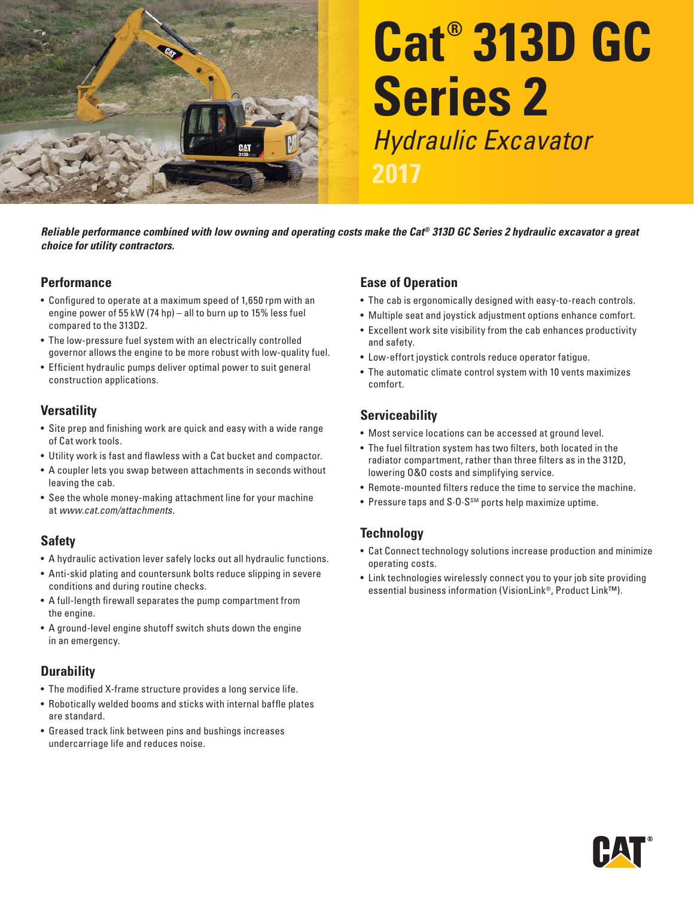

# **Cat® 313D GC Series 2**  Hydraulic Excavator

*Reliable performance combined with low owning and operating costs make the Cat® 313D GC Series 2 hydraulic excavator a great choice for utility contractors.* 

#### **Performance**

- Configured to operate at a maximum speed of 1,650 rpm with an engine power of 55 kW (74 hp) – all to burn up to 15% less fuel compared to the 313D2.
- The low-pressure fuel system with an electrically controlled governor allows the engine to be more robust with low-quality fuel.
- Efficient hydraulic pumps deliver optimal power to suit general construction applications.

#### **Versatility**

- Site prep and finishing work are quick and easy with a wide range of Cat work tools.
- Utility work is fast and flawless with a Cat bucket and compactor.
- A coupler lets you swap between attachments in seconds without leaving the cab.
- See the whole money-making attachment line for your machine at www.cat.com/attachments .

#### **Safety**

- A hydraulic activation lever safely locks out all hydraulic functions.
- Anti-skid plating and countersunk bolts reduce slipping in severe conditions and during routine checks.
- A full-length firewall separates the pump compartment from the engine.
- A ground-level engine shutoff switch shuts down the engine in an emergency.

#### **Durability**

- The modified X-frame structure provides a long service life.
- $\bullet\,$  Robotically welded booms and sticks with internal baffle plates are standard.
- Greased track link between pins and bushings increases undercarriage life and reduces noise.

#### **Ease of Operation**

- The cab is ergonomically designed with easy-to-reach controls.
- Multiple seat and joystick adjustment options enhance comfort.
- Excellent work site visibility from the cab enhances productivity and safety.
- Low-effort joystick controls reduce operator fatigue.
- The automatic climate control system with 10 vents maximizes comfort

## **Serviceability**

- Most service locations can be accessed at ground level.
- The fuel filtration system has two filters, both located in the radiator compartment, rather than three filters as in the 312D, lowering 0&0 costs and simplifying service.
- Remote-mounted filters reduce the time to service the machine.
- Pressure taps and S $0.5^{5M}$  ports help maximize uptime.

## **Technology**

- Cat Connect technology solutions increase production and minimize operating costs.
- Link technologies wirelessly connect you to your job site providing essential business information (VisionLink®, Product Link™).